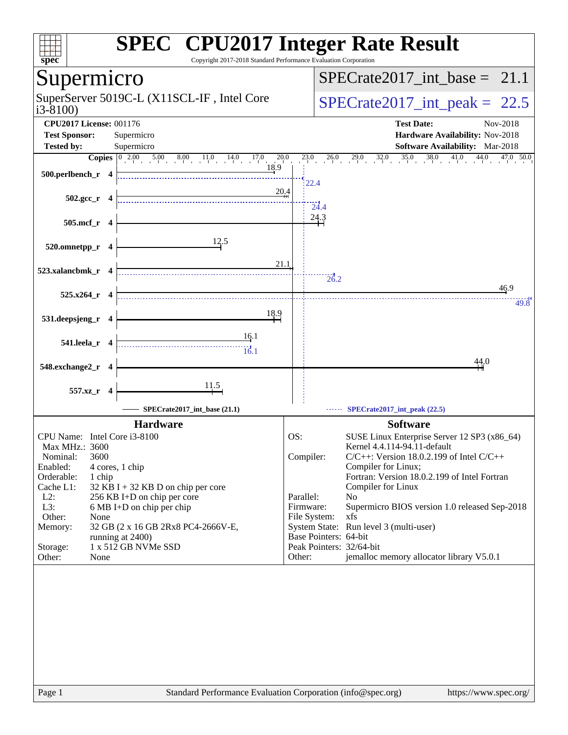| spec                               | <b>SPEC<sup>®</sup></b> CPU2017 Integer Rate Result<br>Copyright 2017-2018 Standard Performance Evaluation Corporation |                        |                                                                               |
|------------------------------------|------------------------------------------------------------------------------------------------------------------------|------------------------|-------------------------------------------------------------------------------|
| Supermicro                         |                                                                                                                        |                        | $SPECrate2017\_int\_base = 21.1$                                              |
| $i3-8100$                          | SuperServer 5019C-L (X11SCL-IF, Intel Core                                                                             |                        | $SPECTate2017\_int\_peak = 22.5$                                              |
| <b>CPU2017 License: 001176</b>     |                                                                                                                        |                        | <b>Test Date:</b><br>Nov-2018                                                 |
| <b>Test Sponsor:</b>               | Supermicro                                                                                                             |                        | Hardware Availability: Nov-2018                                               |
| <b>Tested by:</b>                  | Supermicro                                                                                                             |                        | Software Availability: Mar-2018                                               |
|                                    | 20.0                                                                                                                   | 23.0                   | $29.0$ $32.0$ $35.0$<br>$38.0$ $41.0$<br>26.0<br>44.0<br>47.0 50.0            |
| 500.perlbench_r 4                  | 18.9                                                                                                                   |                        |                                                                               |
|                                    | 20.4                                                                                                                   |                        | 22.4                                                                          |
| $502.\text{gcc}_r$ 4               |                                                                                                                        |                        | $\overline{24.4}$                                                             |
|                                    |                                                                                                                        |                        | 24.3                                                                          |
| 505.mcf_r 4                        |                                                                                                                        |                        |                                                                               |
|                                    | 12.5                                                                                                                   |                        |                                                                               |
| 520.omnetpp_r 4                    |                                                                                                                        |                        |                                                                               |
|                                    | 21.1                                                                                                                   |                        |                                                                               |
| 523.xalancbmk_r 4                  |                                                                                                                        |                        | 26.2                                                                          |
|                                    |                                                                                                                        |                        | 46.9                                                                          |
| $525.x264$ _r 4                    |                                                                                                                        |                        | 49.8                                                                          |
| 531.deepsjeng_r 4                  | <u>18.9</u>                                                                                                            |                        |                                                                               |
|                                    |                                                                                                                        |                        |                                                                               |
| 541.leela_r 4                      | <u>16</u> .1                                                                                                           |                        |                                                                               |
|                                    | $\frac{1}{16.1}$                                                                                                       |                        |                                                                               |
| 548.exchange2_r 4                  |                                                                                                                        |                        | 44.0                                                                          |
|                                    |                                                                                                                        |                        |                                                                               |
| 557.xz_r 4                         | $\frac{11.5}{ }$                                                                                                       |                        |                                                                               |
|                                    |                                                                                                                        |                        |                                                                               |
|                                    | SPECrate2017_int_base (21.1)                                                                                           |                        | SPECrate2017_int_peak (22.5)                                                  |
|                                    | <b>Hardware</b>                                                                                                        |                        | <b>Software</b>                                                               |
| CPU Name: Intel Core i3-8100       |                                                                                                                        | OS:                    | SUSE Linux Enterprise Server 12 SP3 (x86_64)                                  |
| Max MHz.: 3600<br>3600<br>Nominal: |                                                                                                                        | Compiler:              | Kernel 4.4.114-94.11-default<br>$C/C++$ : Version 18.0.2.199 of Intel $C/C++$ |
| Enabled:<br>4 cores, 1 chip        |                                                                                                                        |                        | Compiler for Linux;                                                           |
| Orderable:<br>1 chip               |                                                                                                                        |                        | Fortran: Version 18.0.2.199 of Intel Fortran                                  |
| Cache L1:                          | 32 KB I + 32 KB D on chip per core                                                                                     |                        | Compiler for Linux                                                            |
| $L2$ :<br>L3:                      | 256 KB I+D on chip per core                                                                                            | Parallel:<br>Firmware: | No<br>Supermicro BIOS version 1.0 released Sep-2018                           |
| Other:<br>None                     | 6 MB I+D on chip per chip                                                                                              | File System:           | xfs                                                                           |
| Memory:                            | 32 GB (2 x 16 GB 2Rx8 PC4-2666V-E,                                                                                     |                        | System State: Run level 3 (multi-user)                                        |
|                                    | running at 2400)                                                                                                       |                        | Base Pointers: 64-bit                                                         |
| Storage:<br>Other:<br>None         | 1 x 512 GB NVMe SSD                                                                                                    | Other:                 | Peak Pointers: 32/64-bit<br>jemalloc memory allocator library V5.0.1          |
|                                    |                                                                                                                        |                        |                                                                               |
|                                    |                                                                                                                        |                        |                                                                               |
|                                    |                                                                                                                        |                        |                                                                               |
|                                    |                                                                                                                        |                        |                                                                               |
|                                    |                                                                                                                        |                        |                                                                               |
|                                    |                                                                                                                        |                        |                                                                               |
|                                    |                                                                                                                        |                        |                                                                               |
|                                    |                                                                                                                        |                        |                                                                               |
|                                    |                                                                                                                        |                        |                                                                               |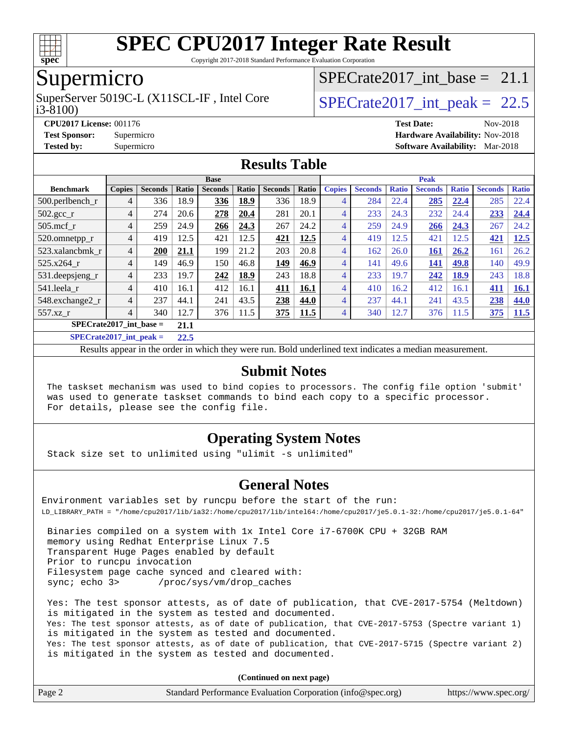

Copyright 2017-2018 Standard Performance Evaluation Corporation

## Supermicro

i3-8100) SuperServer 5019C-L (X11SCL-IF, Intel Core  $SPECrate2017$  int peak = 22.5

SPECrate2017 int\_base =  $21.1$ 

**[CPU2017 License:](http://www.spec.org/auto/cpu2017/Docs/result-fields.html#CPU2017License)** 001176 **[Test Date:](http://www.spec.org/auto/cpu2017/Docs/result-fields.html#TestDate)** Nov-2018

**[Test Sponsor:](http://www.spec.org/auto/cpu2017/Docs/result-fields.html#TestSponsor)** Supermicro **[Hardware Availability:](http://www.spec.org/auto/cpu2017/Docs/result-fields.html#HardwareAvailability)** Nov-2018

**[Tested by:](http://www.spec.org/auto/cpu2017/Docs/result-fields.html#Testedby)** Supermicro **[Software Availability:](http://www.spec.org/auto/cpu2017/Docs/result-fields.html#SoftwareAvailability)** Mar-2018

#### **[Results Table](http://www.spec.org/auto/cpu2017/Docs/result-fields.html#ResultsTable)**

|                                   | <b>Base</b>    |                |              |                |             |                |       | <b>Peak</b>    |                |              |                |              |                |              |
|-----------------------------------|----------------|----------------|--------------|----------------|-------------|----------------|-------|----------------|----------------|--------------|----------------|--------------|----------------|--------------|
| <b>Benchmark</b>                  | <b>Copies</b>  | <b>Seconds</b> | <b>Ratio</b> | <b>Seconds</b> | Ratio       | <b>Seconds</b> | Ratio | <b>Copies</b>  | <b>Seconds</b> | <b>Ratio</b> | <b>Seconds</b> | <b>Ratio</b> | <b>Seconds</b> | <b>Ratio</b> |
| 500.perlbench_r                   | 4              | 336            | 18.9         | 336            | 18.9        | 336            | 18.9  | 4              | 284            | 22.4         | 285            | 22.4         | 285            | 22.4         |
| $502.\text{gcc}$ <sub>r</sub>     | 4              | 274            | 20.6         | 278            | 20.4        | 281            | 20.1  | 4              | 233            | 24.3         | 232            | 24.4         | 233            | 24.4         |
| $505$ .mcf r                      | $\overline{4}$ | 259            | 24.9         | 266            | 24.3        | 267            | 24.2  | 4              | 259            | 24.9         | 266            | 24.3         | 267            | 24.2         |
| 520.omnetpp_r                     | $\overline{4}$ | 419            | 12.5         | 421            | 12.5        | 421            | 12.5  | 4              | 419            | 12.5         | 421            | 12.5         | 421            | 12.5         |
| 523.xalancbmk r                   | $\overline{4}$ | 200            | 21.1         | 199            | 21.2        | 203            | 20.8  | 4              | 162            | 26.0         | <u>161</u>     | 26.2         | 161            | 26.2         |
| 525.x264 r                        | $\overline{4}$ | 149            | 46.9         | 150            | 46.8        | 149            | 46.9  | 4              | 141            | 49.6         | 141            | 49.8         | 140            | 49.9         |
| 531.deepsjeng_r                   | $\overline{4}$ | 233            | 19.7         | 242            | <b>18.9</b> | 243            | 18.8  | 4              | 233            | 19.7         | 242            | <u>18.9</u>  | 243            | 18.8         |
| 541.leela r                       | $\overline{4}$ | 410            | 16.1         | 412            | 16.1        | 411            | 16.1  | 4              | 410            | 16.2         | 412            | 16.1         | 411            | <b>16.1</b>  |
| 548.exchange2_r                   | $\overline{4}$ | 237            | 44.1         | 241            | 43.5        | 238            | 44.0  | 4              | 237            | 44.1         | 241            | 43.5         | 238            | 44.0         |
| 557.xz r                          | $\overline{4}$ | 340            | 12.7         | 376            | 11.5        | 375            | 11.5  | $\overline{4}$ | 340            | 12.7         | 376            | 11.5         | 375            | 11.5         |
| $SPECrate2017$ int base =<br>21.1 |                |                |              |                |             |                |       |                |                |              |                |              |                |              |
| $CDFCsoft2017 int model =$        |                |                | 22E          |                |             |                |       |                |                |              |                |              |                |              |

**[SPECrate2017\\_int\\_peak =](http://www.spec.org/auto/cpu2017/Docs/result-fields.html#SPECrate2017intpeak) 22.5**

Results appear in the [order in which they were run](http://www.spec.org/auto/cpu2017/Docs/result-fields.html#RunOrder). Bold underlined text [indicates a median measurement](http://www.spec.org/auto/cpu2017/Docs/result-fields.html#Median).

#### **[Submit Notes](http://www.spec.org/auto/cpu2017/Docs/result-fields.html#SubmitNotes)**

 The taskset mechanism was used to bind copies to processors. The config file option 'submit' was used to generate taskset commands to bind each copy to a specific processor. For details, please see the config file.

#### **[Operating System Notes](http://www.spec.org/auto/cpu2017/Docs/result-fields.html#OperatingSystemNotes)**

Stack size set to unlimited using "ulimit -s unlimited"

#### **[General Notes](http://www.spec.org/auto/cpu2017/Docs/result-fields.html#GeneralNotes)**

Environment variables set by runcpu before the start of the run: LD\_LIBRARY\_PATH = "/home/cpu2017/lib/ia32:/home/cpu2017/lib/intel64:/home/cpu2017/je5.0.1-32:/home/cpu2017/je5.0.1-64"

 Binaries compiled on a system with 1x Intel Core i7-6700K CPU + 32GB RAM memory using Redhat Enterprise Linux 7.5 Transparent Huge Pages enabled by default Prior to runcpu invocation Filesystem page cache synced and cleared with: sync; echo 3> /proc/sys/vm/drop\_caches

 Yes: The test sponsor attests, as of date of publication, that CVE-2017-5754 (Meltdown) is mitigated in the system as tested and documented. Yes: The test sponsor attests, as of date of publication, that CVE-2017-5753 (Spectre variant 1) is mitigated in the system as tested and documented. Yes: The test sponsor attests, as of date of publication, that CVE-2017-5715 (Spectre variant 2) is mitigated in the system as tested and documented.

**(Continued on next page)**

| Page 2<br>Standard Performance Evaluation Corporation (info@spec.org)<br>https://www.spec.org/ |
|------------------------------------------------------------------------------------------------|
|------------------------------------------------------------------------------------------------|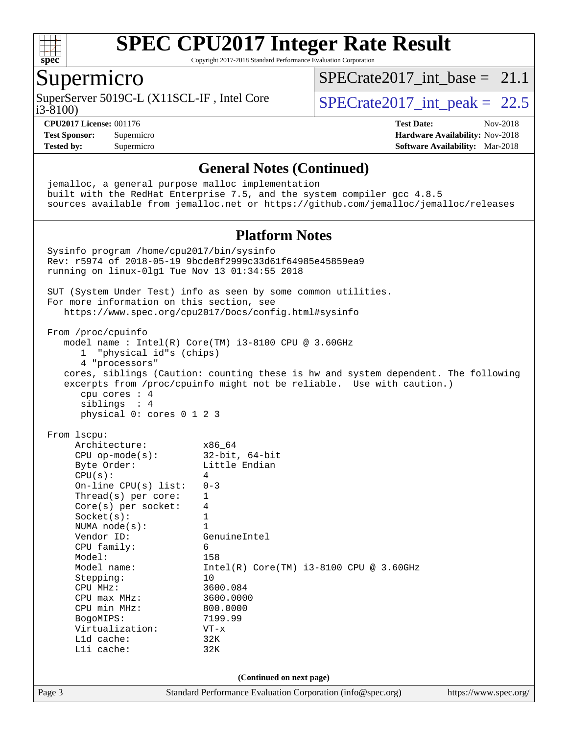

Copyright 2017-2018 Standard Performance Evaluation Corporation

## Supermicro

i3-8100) SuperServer 5019C-L (X11SCL-IF, Intel Core  $S^{22,8100}$  SPECrate 2017 int peak = 22.5

SPECrate2017 int\_base =  $21.1$ 

**[CPU2017 License:](http://www.spec.org/auto/cpu2017/Docs/result-fields.html#CPU2017License)** 001176 **[Test Date:](http://www.spec.org/auto/cpu2017/Docs/result-fields.html#TestDate)** Nov-2018 **[Test Sponsor:](http://www.spec.org/auto/cpu2017/Docs/result-fields.html#TestSponsor)** Supermicro **[Hardware Availability:](http://www.spec.org/auto/cpu2017/Docs/result-fields.html#HardwareAvailability)** Nov-2018 **[Tested by:](http://www.spec.org/auto/cpu2017/Docs/result-fields.html#Testedby)** Supermicro **[Software Availability:](http://www.spec.org/auto/cpu2017/Docs/result-fields.html#SoftwareAvailability)** Mar-2018

#### **[General Notes \(Continued\)](http://www.spec.org/auto/cpu2017/Docs/result-fields.html#GeneralNotes)**

Page 3 Standard Performance Evaluation Corporation [\(info@spec.org\)](mailto:info@spec.org) <https://www.spec.org/> jemalloc, a general purpose malloc implementation built with the RedHat Enterprise 7.5, and the system compiler gcc 4.8.5 sources available from jemalloc.net or <https://github.com/jemalloc/jemalloc/releases> **[Platform Notes](http://www.spec.org/auto/cpu2017/Docs/result-fields.html#PlatformNotes)** Sysinfo program /home/cpu2017/bin/sysinfo Rev: r5974 of 2018-05-19 9bcde8f2999c33d61f64985e45859ea9 running on linux-0lg1 Tue Nov 13 01:34:55 2018 SUT (System Under Test) info as seen by some common utilities. For more information on this section, see <https://www.spec.org/cpu2017/Docs/config.html#sysinfo> From /proc/cpuinfo model name : Intel(R) Core(TM) i3-8100 CPU @ 3.60GHz 1 "physical id"s (chips) 4 "processors" cores, siblings (Caution: counting these is hw and system dependent. The following excerpts from /proc/cpuinfo might not be reliable. Use with caution.) cpu cores : 4 siblings : 4 physical 0: cores 0 1 2 3 From lscpu: Architecture: x86\_64 CPU op-mode(s): 32-bit, 64-bit Byte Order: Little Endian  $CPU(s):$  4 On-line CPU(s) list: 0-3 Thread(s) per core: 1 Core(s) per socket: 4 Socket(s): 1 NUMA node(s): 1<br>Vendor ID: Ge GenuineIntel CPU family: 6 Model: 158 Model name: Intel(R) Core(TM) i3-8100 CPU @ 3.60GHz Stepping: 10 CPU MHz: 3600.084<br>CPU max MHz: 3600.0000 CPU max MHz: 3600.000<br>CPU min MHz: 300.0000 CPU min MHz: BogoMIPS: 7199.99 Virtualization: VT-x L1d cache: 32K L1i cache: 32K **(Continued on next page)**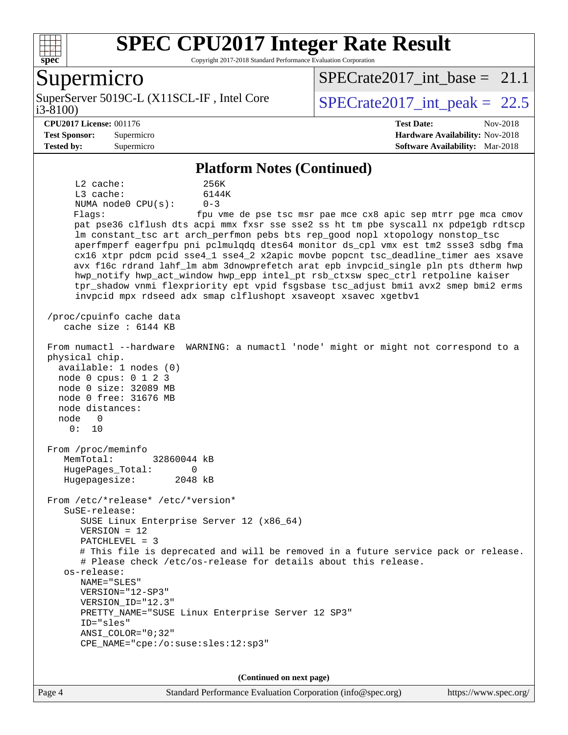

Copyright 2017-2018 Standard Performance Evaluation Corporation

## Supermicro

SuperServer 5019C-L (X11SCL-IF, Intel Core<br>i3-8100)

 $SPECrate2017\_int_bbase = 21.1$ 

SPECrate  $2017$  int peak = 22.5

#### **[CPU2017 License:](http://www.spec.org/auto/cpu2017/Docs/result-fields.html#CPU2017License)** 001176 **[Test Date:](http://www.spec.org/auto/cpu2017/Docs/result-fields.html#TestDate)** Nov-2018

**[Test Sponsor:](http://www.spec.org/auto/cpu2017/Docs/result-fields.html#TestSponsor)** Supermicro **[Hardware Availability:](http://www.spec.org/auto/cpu2017/Docs/result-fields.html#HardwareAvailability)** Nov-2018 **[Tested by:](http://www.spec.org/auto/cpu2017/Docs/result-fields.html#Testedby)** Supermicro **[Software Availability:](http://www.spec.org/auto/cpu2017/Docs/result-fields.html#SoftwareAvailability)** Mar-2018

#### **[Platform Notes \(Continued\)](http://www.spec.org/auto/cpu2017/Docs/result-fields.html#PlatformNotes)**

 L2 cache: 256K L3 cache: 6144K NUMA node0 CPU(s): 0-3 Flags: fpu vme de pse tsc msr pae mce cx8 apic sep mtrr pge mca cmov pat pse36 clflush dts acpi mmx fxsr sse sse2 ss ht tm pbe syscall nx pdpe1gb rdtscp lm constant\_tsc art arch\_perfmon pebs bts rep\_good nopl xtopology nonstop\_tsc aperfmperf eagerfpu pni pclmulqdq dtes64 monitor ds\_cpl vmx est tm2 ssse3 sdbg fma cx16 xtpr pdcm pcid sse4\_1 sse4\_2 x2apic movbe popcnt tsc\_deadline\_timer aes xsave avx f16c rdrand lahf\_lm abm 3dnowprefetch arat epb invpcid\_single pln pts dtherm hwp hwp\_notify hwp\_act\_window hwp\_epp intel\_pt rsb\_ctxsw spec\_ctrl retpoline kaiser tpr\_shadow vnmi flexpriority ept vpid fsgsbase tsc\_adjust bmi1 avx2 smep bmi2 erms invpcid mpx rdseed adx smap clflushopt xsaveopt xsavec xgetbv1 /proc/cpuinfo cache data cache size : 6144 KB From numactl --hardware WARNING: a numactl 'node' might or might not correspond to a physical chip. available: 1 nodes (0) node 0 cpus: 0 1 2 3 node 0 size: 32089 MB node 0 free: 31676 MB node distances: node 0 0: 10 From /proc/meminfo MemTotal: 32860044 kB HugePages\_Total: 0 Hugepagesize: 2048 kB From /etc/\*release\* /etc/\*version\* SuSE-release: SUSE Linux Enterprise Server 12 (x86\_64) VERSION = 12 PATCHLEVEL = 3 # This file is deprecated and will be removed in a future service pack or release. # Please check /etc/os-release for details about this release. os-release: NAME="SLES" VERSION="12-SP3" VERSION\_ID="12.3" PRETTY\_NAME="SUSE Linux Enterprise Server 12 SP3" ID="sles" ANSI\_COLOR="0;32" CPE\_NAME="cpe:/o:suse:sles:12:sp3"

**(Continued on next page)**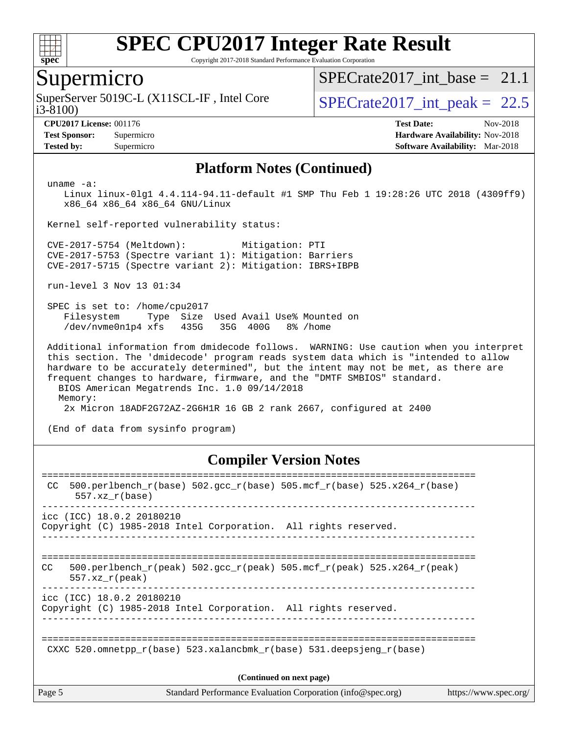

Copyright 2017-2018 Standard Performance Evaluation Corporation

#### Supermicro

i3-8100) SuperServer 5019C-L (X11SCL-IF, Intel Core  $S^{22,8100}$  SPECrate 2017 int peak = 22.5

SPECrate2017 int\_base =  $21.1$ 

**[Tested by:](http://www.spec.org/auto/cpu2017/Docs/result-fields.html#Testedby)** Supermicro **[Software Availability:](http://www.spec.org/auto/cpu2017/Docs/result-fields.html#SoftwareAvailability)** Mar-2018

**[CPU2017 License:](http://www.spec.org/auto/cpu2017/Docs/result-fields.html#CPU2017License)** 001176 **[Test Date:](http://www.spec.org/auto/cpu2017/Docs/result-fields.html#TestDate)** Nov-2018 **[Test Sponsor:](http://www.spec.org/auto/cpu2017/Docs/result-fields.html#TestSponsor)** Supermicro **[Hardware Availability:](http://www.spec.org/auto/cpu2017/Docs/result-fields.html#HardwareAvailability)** Nov-2018

#### **[Platform Notes \(Continued\)](http://www.spec.org/auto/cpu2017/Docs/result-fields.html#PlatformNotes)**

uname -a:

 Linux linux-0lg1 4.4.114-94.11-default #1 SMP Thu Feb 1 19:28:26 UTC 2018 (4309ff9) x86\_64 x86\_64 x86\_64 GNU/Linux

Kernel self-reported vulnerability status:

 CVE-2017-5754 (Meltdown): Mitigation: PTI CVE-2017-5753 (Spectre variant 1): Mitigation: Barriers CVE-2017-5715 (Spectre variant 2): Mitigation: IBRS+IBPB

run-level 3 Nov 13 01:34

 SPEC is set to: /home/cpu2017 Filesystem Type Size Used Avail Use% Mounted on /dev/nvme0n1p4 xfs 435G 35G 400G 8% /home

 Additional information from dmidecode follows. WARNING: Use caution when you interpret this section. The 'dmidecode' program reads system data which is "intended to allow hardware to be accurately determined", but the intent may not be met, as there are frequent changes to hardware, firmware, and the "DMTF SMBIOS" standard. BIOS American Megatrends Inc. 1.0 09/14/2018 Memory: 2x Micron 18ADF2G72AZ-2G6H1R 16 GB 2 rank 2667, configured at 2400

(End of data from sysinfo program)

#### **[Compiler Version Notes](http://www.spec.org/auto/cpu2017/Docs/result-fields.html#CompilerVersionNotes)**

| Page 5 |                           | Standard Performance Evaluation Corporation (info@spec.org)                | https://www.spec.org/ |
|--------|---------------------------|----------------------------------------------------------------------------|-----------------------|
|        |                           | (Continued on next page)                                                   |                       |
|        |                           | CXXC 520.omnetpp $r(base)$ 523.xalancbmk $r(base)$ 531.deepsjeng $r(base)$ |                       |
|        | icc (ICC) 18.0.2 20180210 | Copyright (C) 1985-2018 Intel Corporation. All rights reserved.            |                       |
| CC.    | $557.xx$ r(peak)          | 500.perlbench r(peak) 502.qcc r(peak) 505.mcf r(peak) 525.x264 r(peak)     |                       |
|        | icc (ICC) 18.0.2 20180210 | Copyright (C) 1985-2018 Intel Corporation. All rights reserved.            |                       |
| CC.    | $557.xx$ $r(base)$        | 500.perlbench_r(base) 502.gcc_r(base) 505.mcf_r(base) 525.x264_r(base)     |                       |
|        |                           |                                                                            |                       |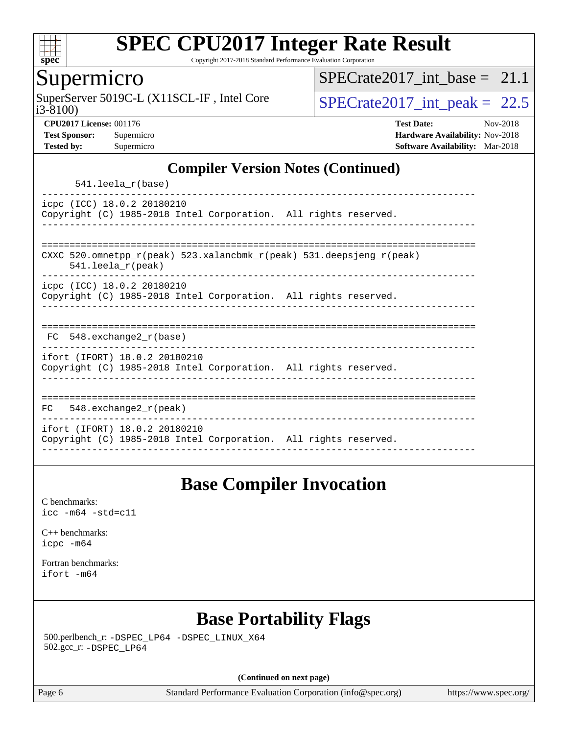

Copyright 2017-2018 Standard Performance Evaluation Corporation

## Supermicro

i3-8100) SuperServer 5019C-L (X11SCL-IF, Intel Core  $SPECrate2017$  int peak = 22.5

SPECrate2017 int\_base =  $21.1$ 

**[CPU2017 License:](http://www.spec.org/auto/cpu2017/Docs/result-fields.html#CPU2017License)** 001176 **[Test Date:](http://www.spec.org/auto/cpu2017/Docs/result-fields.html#TestDate)** Nov-2018 **[Test Sponsor:](http://www.spec.org/auto/cpu2017/Docs/result-fields.html#TestSponsor)** Supermicro **[Hardware Availability:](http://www.spec.org/auto/cpu2017/Docs/result-fields.html#HardwareAvailability)** Nov-2018 **[Tested by:](http://www.spec.org/auto/cpu2017/Docs/result-fields.html#Testedby)** Supermicro **[Software Availability:](http://www.spec.org/auto/cpu2017/Docs/result-fields.html#SoftwareAvailability)** Mar-2018

#### **[Compiler Version Notes \(Continued\)](http://www.spec.org/auto/cpu2017/Docs/result-fields.html#CompilerVersionNotes)**

541.leela\_r(base)

----------------------------------------------------------------------------- icpc (ICC) 18.0.2 20180210 Copyright (C) 1985-2018 Intel Corporation. All rights reserved. ------------------------------------------------------------------------------

============================================================================== CXXC 520.omnetpp\_r(peak) 523.xalancbmk\_r(peak) 531.deepsjeng\_r(peak)

541.leela\_r(peak)

----------------------------------------------------------------------------- icpc (ICC) 18.0.2 20180210

Copyright (C) 1985-2018 Intel Corporation. All rights reserved. ------------------------------------------------------------------------------

| 下へ | 548.exchange2 r(base) |  |  |  |
|----|-----------------------|--|--|--|

----------------------------------------------------------------------------- ifort (IFORT) 18.0.2 20180210

Copyright (C) 1985-2018 Intel Corporation. All rights reserved. ------------------------------------------------------------------------------

============================================================================== FC 548.exchange2\_r(peak) ----------------------------------------------------------------------------- ifort (IFORT) 18.0.2 20180210 Copyright (C) 1985-2018 Intel Corporation. All rights reserved. ------------------------------------------------------------------------------

## **[Base Compiler Invocation](http://www.spec.org/auto/cpu2017/Docs/result-fields.html#BaseCompilerInvocation)**

[C benchmarks](http://www.spec.org/auto/cpu2017/Docs/result-fields.html#Cbenchmarks): [icc -m64 -std=c11](http://www.spec.org/cpu2017/results/res2018q4/cpu2017-20181127-09937.flags.html#user_CCbase_intel_icc_64bit_c11_33ee0cdaae7deeeab2a9725423ba97205ce30f63b9926c2519791662299b76a0318f32ddfffdc46587804de3178b4f9328c46fa7c2b0cd779d7a61945c91cd35)

[C++ benchmarks:](http://www.spec.org/auto/cpu2017/Docs/result-fields.html#CXXbenchmarks) [icpc -m64](http://www.spec.org/cpu2017/results/res2018q4/cpu2017-20181127-09937.flags.html#user_CXXbase_intel_icpc_64bit_4ecb2543ae3f1412ef961e0650ca070fec7b7afdcd6ed48761b84423119d1bf6bdf5cad15b44d48e7256388bc77273b966e5eb805aefd121eb22e9299b2ec9d9)

[Fortran benchmarks](http://www.spec.org/auto/cpu2017/Docs/result-fields.html#Fortranbenchmarks): [ifort -m64](http://www.spec.org/cpu2017/results/res2018q4/cpu2017-20181127-09937.flags.html#user_FCbase_intel_ifort_64bit_24f2bb282fbaeffd6157abe4f878425411749daecae9a33200eee2bee2fe76f3b89351d69a8130dd5949958ce389cf37ff59a95e7a40d588e8d3a57e0c3fd751)

# **[Base Portability Flags](http://www.spec.org/auto/cpu2017/Docs/result-fields.html#BasePortabilityFlags)**

 500.perlbench\_r: [-DSPEC\\_LP64](http://www.spec.org/cpu2017/results/res2018q4/cpu2017-20181127-09937.flags.html#b500.perlbench_r_basePORTABILITY_DSPEC_LP64) [-DSPEC\\_LINUX\\_X64](http://www.spec.org/cpu2017/results/res2018q4/cpu2017-20181127-09937.flags.html#b500.perlbench_r_baseCPORTABILITY_DSPEC_LINUX_X64) 502.gcc\_r: [-DSPEC\\_LP64](http://www.spec.org/cpu2017/results/res2018q4/cpu2017-20181127-09937.flags.html#suite_basePORTABILITY502_gcc_r_DSPEC_LP64)

**(Continued on next page)**

Page 6 Standard Performance Evaluation Corporation [\(info@spec.org\)](mailto:info@spec.org) <https://www.spec.org/>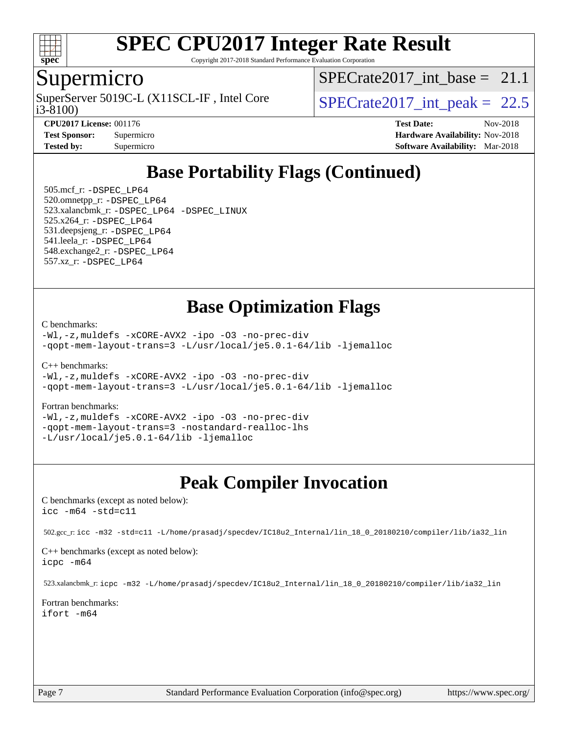

Copyright 2017-2018 Standard Performance Evaluation Corporation

## Supermicro

SuperServer 5019C-L (X11SCL-IF, Intel Core<br>i3-8100)

SPECrate2017 int\_base =  $21.1$ 

SPECrate  $2017$  int peak = 22.5

**[CPU2017 License:](http://www.spec.org/auto/cpu2017/Docs/result-fields.html#CPU2017License)** 001176 **[Test Date:](http://www.spec.org/auto/cpu2017/Docs/result-fields.html#TestDate)** Nov-2018 **[Test Sponsor:](http://www.spec.org/auto/cpu2017/Docs/result-fields.html#TestSponsor)** Supermicro **[Hardware Availability:](http://www.spec.org/auto/cpu2017/Docs/result-fields.html#HardwareAvailability)** Nov-2018 **[Tested by:](http://www.spec.org/auto/cpu2017/Docs/result-fields.html#Testedby)** Supermicro **[Software Availability:](http://www.spec.org/auto/cpu2017/Docs/result-fields.html#SoftwareAvailability)** Mar-2018

# **[Base Portability Flags \(Continued\)](http://www.spec.org/auto/cpu2017/Docs/result-fields.html#BasePortabilityFlags)**

 505.mcf\_r: [-DSPEC\\_LP64](http://www.spec.org/cpu2017/results/res2018q4/cpu2017-20181127-09937.flags.html#suite_basePORTABILITY505_mcf_r_DSPEC_LP64) 520.omnetpp\_r: [-DSPEC\\_LP64](http://www.spec.org/cpu2017/results/res2018q4/cpu2017-20181127-09937.flags.html#suite_basePORTABILITY520_omnetpp_r_DSPEC_LP64) 523.xalancbmk\_r: [-DSPEC\\_LP64](http://www.spec.org/cpu2017/results/res2018q4/cpu2017-20181127-09937.flags.html#suite_basePORTABILITY523_xalancbmk_r_DSPEC_LP64) [-DSPEC\\_LINUX](http://www.spec.org/cpu2017/results/res2018q4/cpu2017-20181127-09937.flags.html#b523.xalancbmk_r_baseCXXPORTABILITY_DSPEC_LINUX) 525.x264\_r: [-DSPEC\\_LP64](http://www.spec.org/cpu2017/results/res2018q4/cpu2017-20181127-09937.flags.html#suite_basePORTABILITY525_x264_r_DSPEC_LP64) 531.deepsjeng\_r: [-DSPEC\\_LP64](http://www.spec.org/cpu2017/results/res2018q4/cpu2017-20181127-09937.flags.html#suite_basePORTABILITY531_deepsjeng_r_DSPEC_LP64) 541.leela\_r: [-DSPEC\\_LP64](http://www.spec.org/cpu2017/results/res2018q4/cpu2017-20181127-09937.flags.html#suite_basePORTABILITY541_leela_r_DSPEC_LP64) 548.exchange2\_r: [-DSPEC\\_LP64](http://www.spec.org/cpu2017/results/res2018q4/cpu2017-20181127-09937.flags.html#suite_basePORTABILITY548_exchange2_r_DSPEC_LP64) 557.xz\_r: [-DSPEC\\_LP64](http://www.spec.org/cpu2017/results/res2018q4/cpu2017-20181127-09937.flags.html#suite_basePORTABILITY557_xz_r_DSPEC_LP64)

## **[Base Optimization Flags](http://www.spec.org/auto/cpu2017/Docs/result-fields.html#BaseOptimizationFlags)**

[C benchmarks](http://www.spec.org/auto/cpu2017/Docs/result-fields.html#Cbenchmarks):

[-Wl,-z,muldefs](http://www.spec.org/cpu2017/results/res2018q4/cpu2017-20181127-09937.flags.html#user_CCbase_link_force_multiple1_b4cbdb97b34bdee9ceefcfe54f4c8ea74255f0b02a4b23e853cdb0e18eb4525ac79b5a88067c842dd0ee6996c24547a27a4b99331201badda8798ef8a743f577) [-xCORE-AVX2](http://www.spec.org/cpu2017/results/res2018q4/cpu2017-20181127-09937.flags.html#user_CCbase_f-xCORE-AVX2) [-ipo](http://www.spec.org/cpu2017/results/res2018q4/cpu2017-20181127-09937.flags.html#user_CCbase_f-ipo) [-O3](http://www.spec.org/cpu2017/results/res2018q4/cpu2017-20181127-09937.flags.html#user_CCbase_f-O3) [-no-prec-div](http://www.spec.org/cpu2017/results/res2018q4/cpu2017-20181127-09937.flags.html#user_CCbase_f-no-prec-div) [-qopt-mem-layout-trans=3](http://www.spec.org/cpu2017/results/res2018q4/cpu2017-20181127-09937.flags.html#user_CCbase_f-qopt-mem-layout-trans_de80db37974c74b1f0e20d883f0b675c88c3b01e9d123adea9b28688d64333345fb62bc4a798493513fdb68f60282f9a726aa07f478b2f7113531aecce732043) [-L/usr/local/je5.0.1-64/lib](http://www.spec.org/cpu2017/results/res2018q4/cpu2017-20181127-09937.flags.html#user_CCbase_jemalloc_link_path64_4b10a636b7bce113509b17f3bd0d6226c5fb2346b9178c2d0232c14f04ab830f976640479e5c33dc2bcbbdad86ecfb6634cbbd4418746f06f368b512fced5394) [-ljemalloc](http://www.spec.org/cpu2017/results/res2018q4/cpu2017-20181127-09937.flags.html#user_CCbase_jemalloc_link_lib_d1249b907c500fa1c0672f44f562e3d0f79738ae9e3c4a9c376d49f265a04b9c99b167ecedbf6711b3085be911c67ff61f150a17b3472be731631ba4d0471706)

[C++ benchmarks:](http://www.spec.org/auto/cpu2017/Docs/result-fields.html#CXXbenchmarks)

[-Wl,-z,muldefs](http://www.spec.org/cpu2017/results/res2018q4/cpu2017-20181127-09937.flags.html#user_CXXbase_link_force_multiple1_b4cbdb97b34bdee9ceefcfe54f4c8ea74255f0b02a4b23e853cdb0e18eb4525ac79b5a88067c842dd0ee6996c24547a27a4b99331201badda8798ef8a743f577) [-xCORE-AVX2](http://www.spec.org/cpu2017/results/res2018q4/cpu2017-20181127-09937.flags.html#user_CXXbase_f-xCORE-AVX2) [-ipo](http://www.spec.org/cpu2017/results/res2018q4/cpu2017-20181127-09937.flags.html#user_CXXbase_f-ipo) [-O3](http://www.spec.org/cpu2017/results/res2018q4/cpu2017-20181127-09937.flags.html#user_CXXbase_f-O3) [-no-prec-div](http://www.spec.org/cpu2017/results/res2018q4/cpu2017-20181127-09937.flags.html#user_CXXbase_f-no-prec-div) [-qopt-mem-layout-trans=3](http://www.spec.org/cpu2017/results/res2018q4/cpu2017-20181127-09937.flags.html#user_CXXbase_f-qopt-mem-layout-trans_de80db37974c74b1f0e20d883f0b675c88c3b01e9d123adea9b28688d64333345fb62bc4a798493513fdb68f60282f9a726aa07f478b2f7113531aecce732043) [-L/usr/local/je5.0.1-64/lib](http://www.spec.org/cpu2017/results/res2018q4/cpu2017-20181127-09937.flags.html#user_CXXbase_jemalloc_link_path64_4b10a636b7bce113509b17f3bd0d6226c5fb2346b9178c2d0232c14f04ab830f976640479e5c33dc2bcbbdad86ecfb6634cbbd4418746f06f368b512fced5394) [-ljemalloc](http://www.spec.org/cpu2017/results/res2018q4/cpu2017-20181127-09937.flags.html#user_CXXbase_jemalloc_link_lib_d1249b907c500fa1c0672f44f562e3d0f79738ae9e3c4a9c376d49f265a04b9c99b167ecedbf6711b3085be911c67ff61f150a17b3472be731631ba4d0471706)

#### [Fortran benchmarks](http://www.spec.org/auto/cpu2017/Docs/result-fields.html#Fortranbenchmarks):

[-Wl,-z,muldefs](http://www.spec.org/cpu2017/results/res2018q4/cpu2017-20181127-09937.flags.html#user_FCbase_link_force_multiple1_b4cbdb97b34bdee9ceefcfe54f4c8ea74255f0b02a4b23e853cdb0e18eb4525ac79b5a88067c842dd0ee6996c24547a27a4b99331201badda8798ef8a743f577) [-xCORE-AVX2](http://www.spec.org/cpu2017/results/res2018q4/cpu2017-20181127-09937.flags.html#user_FCbase_f-xCORE-AVX2) [-ipo](http://www.spec.org/cpu2017/results/res2018q4/cpu2017-20181127-09937.flags.html#user_FCbase_f-ipo) [-O3](http://www.spec.org/cpu2017/results/res2018q4/cpu2017-20181127-09937.flags.html#user_FCbase_f-O3) [-no-prec-div](http://www.spec.org/cpu2017/results/res2018q4/cpu2017-20181127-09937.flags.html#user_FCbase_f-no-prec-div) [-qopt-mem-layout-trans=3](http://www.spec.org/cpu2017/results/res2018q4/cpu2017-20181127-09937.flags.html#user_FCbase_f-qopt-mem-layout-trans_de80db37974c74b1f0e20d883f0b675c88c3b01e9d123adea9b28688d64333345fb62bc4a798493513fdb68f60282f9a726aa07f478b2f7113531aecce732043) [-nostandard-realloc-lhs](http://www.spec.org/cpu2017/results/res2018q4/cpu2017-20181127-09937.flags.html#user_FCbase_f_2003_std_realloc_82b4557e90729c0f113870c07e44d33d6f5a304b4f63d4c15d2d0f1fab99f5daaed73bdb9275d9ae411527f28b936061aa8b9c8f2d63842963b95c9dd6426b8a) [-L/usr/local/je5.0.1-64/lib](http://www.spec.org/cpu2017/results/res2018q4/cpu2017-20181127-09937.flags.html#user_FCbase_jemalloc_link_path64_4b10a636b7bce113509b17f3bd0d6226c5fb2346b9178c2d0232c14f04ab830f976640479e5c33dc2bcbbdad86ecfb6634cbbd4418746f06f368b512fced5394) [-ljemalloc](http://www.spec.org/cpu2017/results/res2018q4/cpu2017-20181127-09937.flags.html#user_FCbase_jemalloc_link_lib_d1249b907c500fa1c0672f44f562e3d0f79738ae9e3c4a9c376d49f265a04b9c99b167ecedbf6711b3085be911c67ff61f150a17b3472be731631ba4d0471706)

## **[Peak Compiler Invocation](http://www.spec.org/auto/cpu2017/Docs/result-fields.html#PeakCompilerInvocation)**

[C benchmarks \(except as noted below\)](http://www.spec.org/auto/cpu2017/Docs/result-fields.html#Cbenchmarksexceptasnotedbelow): [icc -m64 -std=c11](http://www.spec.org/cpu2017/results/res2018q4/cpu2017-20181127-09937.flags.html#user_CCpeak_intel_icc_64bit_c11_33ee0cdaae7deeeab2a9725423ba97205ce30f63b9926c2519791662299b76a0318f32ddfffdc46587804de3178b4f9328c46fa7c2b0cd779d7a61945c91cd35)

502.gcc\_r: [icc -m32 -std=c11 -L/home/prasadj/specdev/IC18u2\\_Internal/lin\\_18\\_0\\_20180210/compiler/lib/ia32\\_lin](http://www.spec.org/cpu2017/results/res2018q4/cpu2017-20181127-09937.flags.html#user_peakCCLD502_gcc_r_intel_icc_a481ac844e7127046fad14d498c730a1848fa901fbbb2c3dfdd5e9fbbac777c8009953946d55d8b6afe8ed0da70dd2b4f8dedbdf7ab1ee211ba70d24a5d89f85)

[C++ benchmarks \(except as noted below\):](http://www.spec.org/auto/cpu2017/Docs/result-fields.html#CXXbenchmarksexceptasnotedbelow) [icpc -m64](http://www.spec.org/cpu2017/results/res2018q4/cpu2017-20181127-09937.flags.html#user_CXXpeak_intel_icpc_64bit_4ecb2543ae3f1412ef961e0650ca070fec7b7afdcd6ed48761b84423119d1bf6bdf5cad15b44d48e7256388bc77273b966e5eb805aefd121eb22e9299b2ec9d9)

523.xalancbmk\_r: [icpc -m32 -L/home/prasadj/specdev/IC18u2\\_Internal/lin\\_18\\_0\\_20180210/compiler/lib/ia32\\_lin](http://www.spec.org/cpu2017/results/res2018q4/cpu2017-20181127-09937.flags.html#user_peakCXXLD523_xalancbmk_r_intel_icpc_c6d030cd79af6ea7d6fb64c57e8fe7ae8fe0b96fc5a3b3f4a10e3273b3d7fa9decd8263f6330cef23f751cb093a69fae84a2bf4c243500a8eed069248128076f)

[Fortran benchmarks](http://www.spec.org/auto/cpu2017/Docs/result-fields.html#Fortranbenchmarks): [ifort -m64](http://www.spec.org/cpu2017/results/res2018q4/cpu2017-20181127-09937.flags.html#user_FCpeak_intel_ifort_64bit_24f2bb282fbaeffd6157abe4f878425411749daecae9a33200eee2bee2fe76f3b89351d69a8130dd5949958ce389cf37ff59a95e7a40d588e8d3a57e0c3fd751)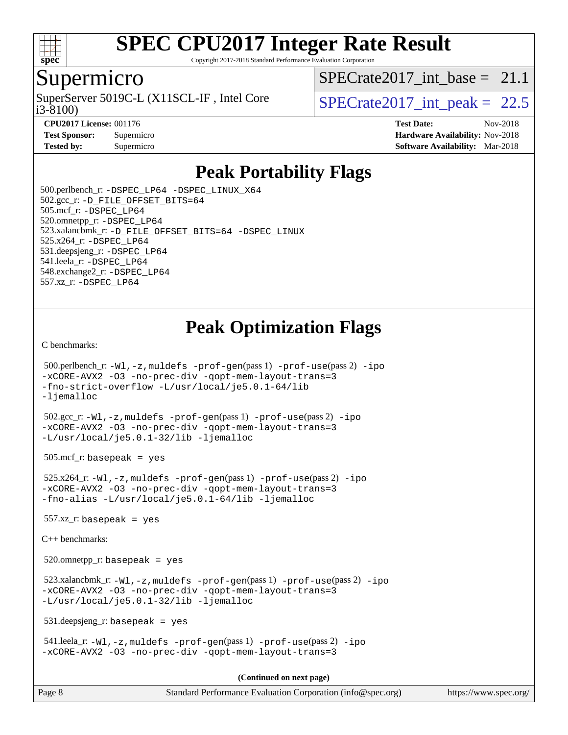

Copyright 2017-2018 Standard Performance Evaluation Corporation

#### Supermicro

SuperServer 5019C-L (X11SCL-IF, Intel Core<br>i3-8100)

SPECrate2017 int\_base =  $21.1$ 

SPECrate  $2017$  int peak = 22.5

**[CPU2017 License:](http://www.spec.org/auto/cpu2017/Docs/result-fields.html#CPU2017License)** 001176 **[Test Date:](http://www.spec.org/auto/cpu2017/Docs/result-fields.html#TestDate)** Nov-2018 **[Test Sponsor:](http://www.spec.org/auto/cpu2017/Docs/result-fields.html#TestSponsor)** Supermicro **[Hardware Availability:](http://www.spec.org/auto/cpu2017/Docs/result-fields.html#HardwareAvailability)** Nov-2018 **[Tested by:](http://www.spec.org/auto/cpu2017/Docs/result-fields.html#Testedby)** Supermicro **Supermicro [Software Availability:](http://www.spec.org/auto/cpu2017/Docs/result-fields.html#SoftwareAvailability)** Mar-2018

## **[Peak Portability Flags](http://www.spec.org/auto/cpu2017/Docs/result-fields.html#PeakPortabilityFlags)**

 500.perlbench\_r: [-DSPEC\\_LP64](http://www.spec.org/cpu2017/results/res2018q4/cpu2017-20181127-09937.flags.html#b500.perlbench_r_peakPORTABILITY_DSPEC_LP64) [-DSPEC\\_LINUX\\_X64](http://www.spec.org/cpu2017/results/res2018q4/cpu2017-20181127-09937.flags.html#b500.perlbench_r_peakCPORTABILITY_DSPEC_LINUX_X64) 502.gcc\_r: [-D\\_FILE\\_OFFSET\\_BITS=64](http://www.spec.org/cpu2017/results/res2018q4/cpu2017-20181127-09937.flags.html#user_peakPORTABILITY502_gcc_r_file_offset_bits_64_5ae949a99b284ddf4e95728d47cb0843d81b2eb0e18bdfe74bbf0f61d0b064f4bda2f10ea5eb90e1dcab0e84dbc592acfc5018bc955c18609f94ddb8d550002c) 505.mcf\_r: [-DSPEC\\_LP64](http://www.spec.org/cpu2017/results/res2018q4/cpu2017-20181127-09937.flags.html#suite_peakPORTABILITY505_mcf_r_DSPEC_LP64) 520.omnetpp\_r: [-DSPEC\\_LP64](http://www.spec.org/cpu2017/results/res2018q4/cpu2017-20181127-09937.flags.html#suite_peakPORTABILITY520_omnetpp_r_DSPEC_LP64) 523.xalancbmk\_r: [-D\\_FILE\\_OFFSET\\_BITS=64](http://www.spec.org/cpu2017/results/res2018q4/cpu2017-20181127-09937.flags.html#user_peakPORTABILITY523_xalancbmk_r_file_offset_bits_64_5ae949a99b284ddf4e95728d47cb0843d81b2eb0e18bdfe74bbf0f61d0b064f4bda2f10ea5eb90e1dcab0e84dbc592acfc5018bc955c18609f94ddb8d550002c) [-DSPEC\\_LINUX](http://www.spec.org/cpu2017/results/res2018q4/cpu2017-20181127-09937.flags.html#b523.xalancbmk_r_peakCXXPORTABILITY_DSPEC_LINUX) 525.x264\_r: [-DSPEC\\_LP64](http://www.spec.org/cpu2017/results/res2018q4/cpu2017-20181127-09937.flags.html#suite_peakPORTABILITY525_x264_r_DSPEC_LP64) 531.deepsjeng\_r: [-DSPEC\\_LP64](http://www.spec.org/cpu2017/results/res2018q4/cpu2017-20181127-09937.flags.html#suite_peakPORTABILITY531_deepsjeng_r_DSPEC_LP64) 541.leela\_r: [-DSPEC\\_LP64](http://www.spec.org/cpu2017/results/res2018q4/cpu2017-20181127-09937.flags.html#suite_peakPORTABILITY541_leela_r_DSPEC_LP64) 548.exchange2\_r: [-DSPEC\\_LP64](http://www.spec.org/cpu2017/results/res2018q4/cpu2017-20181127-09937.flags.html#suite_peakPORTABILITY548_exchange2_r_DSPEC_LP64) 557.xz\_r: [-DSPEC\\_LP64](http://www.spec.org/cpu2017/results/res2018q4/cpu2017-20181127-09937.flags.html#suite_peakPORTABILITY557_xz_r_DSPEC_LP64)

# **[Peak Optimization Flags](http://www.spec.org/auto/cpu2017/Docs/result-fields.html#PeakOptimizationFlags)**

[C benchmarks](http://www.spec.org/auto/cpu2017/Docs/result-fields.html#Cbenchmarks):

```
 500.perlbench_r: -Wl,-z,muldefs -prof-gen(pass 1) -prof-use(pass 2) -ipo
-xCORE-AVX2 -O3 -no-prec-div -qopt-mem-layout-trans=3
-fno-strict-overflow -L/usr/local/je5.0.1-64/lib
-ljemalloc
 502.gcc_r: -Wl,-z,muldefs -prof-gen(pass 1) -prof-use(pass 2) -ipo
-xCORE-AVX2 -O3 -no-prec-div -qopt-mem-layout-trans=3
-L/usr/local/je5.0.1-32/lib -ljemalloc
505.\text{mcf}_r: basepeak = yes
 525.x264_r: -Wl,-z,muldefs -prof-gen(pass 1) -prof-use(pass 2) -ipo
-xCORE-AVX2 -O3 -no-prec-div -qopt-mem-layout-trans=3
-fno-alias -L/usr/local/je5.0.1-64/lib -ljemalloc
557.xz r: basepeak = yes
C++ benchmarks: 
 520.omnetpp_r: basepeak = yes
 523.xalancbmk_r: -Wl,-z,muldefs -prof-gen(pass 1) -prof-use(pass 2) -ipo
-xCORE-AVX2 -O3 -no-prec-div -qopt-mem-layout-trans=3
-L/usr/local/je5.0.1-32/lib -ljemalloc
 531.deepsjeng_r: basepeak = yes
 541.leela_r: -Wl,-z,muldefs -prof-gen(pass 1) -prof-use(pass 2) -ipo
-xCORE-AVX2 -O3 -no-prec-div -qopt-mem-layout-trans=3
                                       (Continued on next page)
```